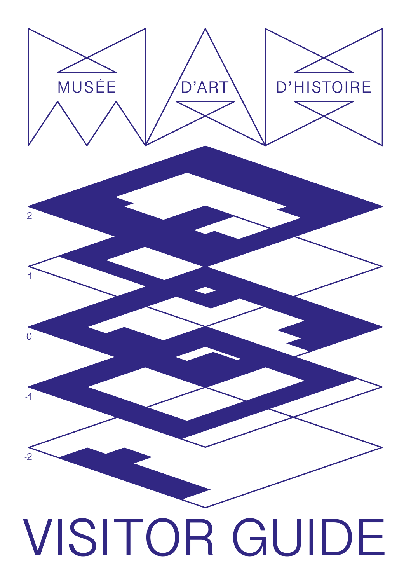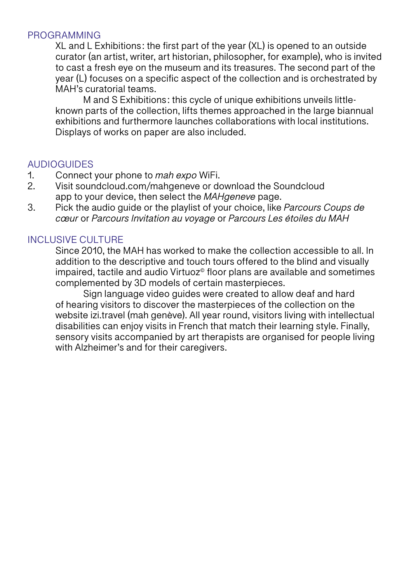#### PROGRAMMING

XL and L Exhibitions: the first part of the year (XL) is opened to an outside curator (an artist, writer, art historian, philosopher, for example), who is invited to cast a fresh eye on the museum and its treasures. The second part of the year (L) focuses on a specific aspect of the collection and is orchestrated by MAH's curatorial teams.

M and S Exhibitions: this cycle of unique exhibitions unveils littleknown parts of the collection, lifts themes approached in the large biannual exhibitions and furthermore launches collaborations with local institutions. Displays of works on paper are also included.

### **AUDIOGUIDES**

- 1. Connect your phone to *mah expo* WiFi.
- Visit soundcloud.com/mahgeneve or download the Soundcloud app to your device, then select the *MAHgeneve* page.
- 3. Pick the audio guide or the playlist of your choice, like *Parcours Coups de cœur* or *Parcours Invitation au voyage* or *Parcours Les étoiles du MAH*

### INCLUSIVE CULTURE

Since 2010, the MAH has worked to make the collection accessible to all. In addition to the descriptive and touch tours offered to the blind and visually impaired, tactile and audio Virtuoz<sup>®</sup> floor plans are available and sometimes complemented by 3D models of certain masterpieces.

Sign language video guides were created to allow deaf and hard of hearing visitors to discover the masterpieces of the collection on the website izi.travel (mah genève). All year round, visitors living with intellectual disabilities can enjoy visits in French that match their learning style. Finally, sensory visits accompanied by art therapists are organised for people living with Alzheimer's and for their caregivers.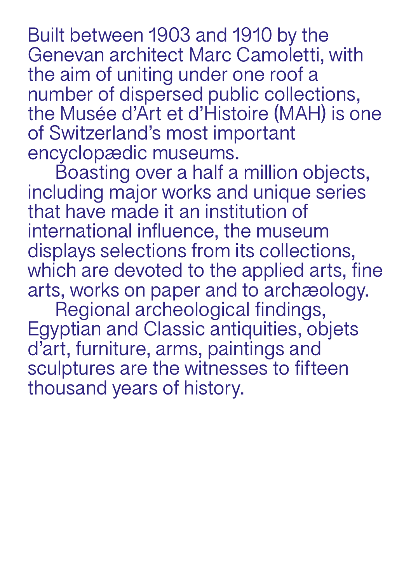Built between 1903 and 1910 by the Genevan architect Marc Camoletti, with the aim of uniting under one roof a number of dispersed public collections, the Musée d'Art et d'Histoire (MAH) is one of Switzerland's most important encyclopædic museums.

Boasting over a half a million objects, including major works and unique series that have made it an institution of international influence, the museum displays selections from its collections, which are devoted to the applied arts, fine arts, works on paper and to archæology.

Regional archeological findings, Egyptian and Classic antiquities, objets d'art, furniture, arms, paintings and sculptures are the witnesses to fifteen thousand years of history.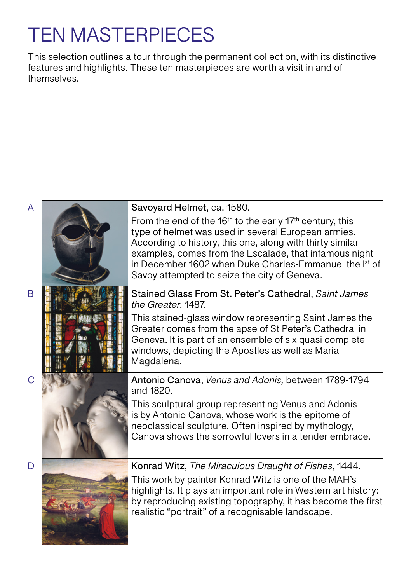# TEN MASTERPIECES

This selection outlines a tour through the permanent collection, with its distinctive features and highlights. These ten masterpieces are worth a visit in and of themselves.

#### Savoyard Helmet, ca. 1580.

From the end of the 16<sup>th</sup> to the early 17<sup>th</sup> century, this type of helmet was used in several European armies. According to history, this one, along with thirty similar examples, comes from the Escalade, that infamous night in December 1602 when Duke Charles-Emmanuel the Ist of Savoy attempted to seize the city of Geneva.

Stained Glass From St. Peter's Cathedral, *Saint James the Greater*, 1487.

This stained-glass window representing Saint James the Greater comes from the apse of St Peter's Cathedral in Geneva. It is part of an ensemble of six quasi complete windows, depicting the Apostles as well as Maria Magdalena.

Antonio Canova, *Venus and Adonis,* between 1789-1794 and 1820.

This sculptural group representing Venus and Adonis is by Antonio Canova, whose work is the epitome of neoclassical sculpture. Often inspired by mythology, Canova shows the sorrowful lovers in a tender embrace.



Konrad Witz, *The Miraculous Draught of Fishes*, 1444.

This work by painter Konrad Witz is one of the MAH's highlights. It plays an important role in Western art history: by reproducing existing topography, it has become the first realistic "portrait" of a recognisable landscape.

 $\mathcal{C}$ 

 $\overline{D}$ 

A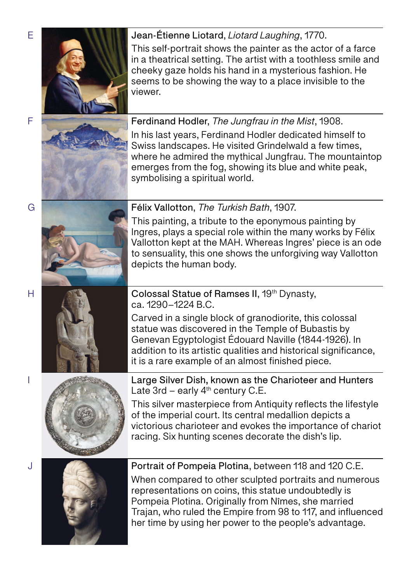



In his last years, Ferdinand Hodler dedicated himself to Swiss landscapes. He visited Grindelwald a few times, where he admired the mythical Jungfrau. The mountaintop emerges from the fog, showing its blue and white peak, symbolising a spiritual world.





Colossal Statue of Ramses II, 19<sup>th</sup> Dynasty, ca. 1290–1224 B.C.

Carved in a single block of granodiorite, this colossal statue was discovered in the Temple of Bubastis by Genevan Egyptologist Édouard Naville (1844-1926). In addition to its artistic qualities and historical significance, it is a rare example of an almost finished piece.



Large Silver Dish, known as the Charioteer and Hunters Late  $3rd$  – early  $4<sup>th</sup>$  century C.E.

This silver masterpiece from Antiquity reflects the lifestyle of the imperial court. Its central medallion depicts a victorious charioteer and evokes the importance of chariot racing. Six hunting scenes decorate the dish's lip.



Portrait of Pompeia Plotina, between 118 and 120 C.E.

When compared to other sculpted portraits and numerous representations on coins, this statue undoubtedly is Pompeia Plotina. Originally from Nîmes, she married Trajan, who ruled the Empire from 98 to 117, and influenced her time by using her power to the people's advantage.

G

H

I

J

F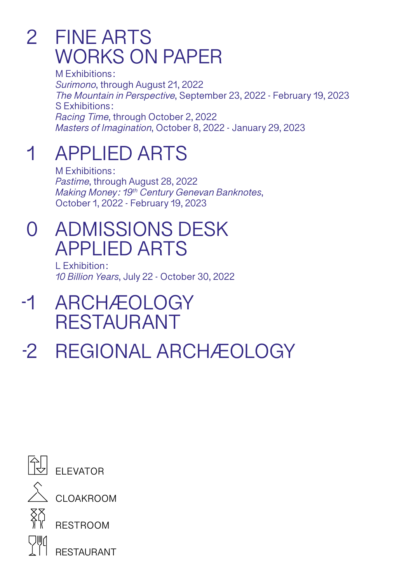## 2 FINE ARTS WORKS ON PAPER

M Exhibitions : *Surimono*, through August 21, 2022 *The Mountain in Perspective*, September 23, 2022 - February 19, 2023 S Exhibitions : *Racing Time*, through October 2, 2022 *Masters of Imagination*, October 8, 2022 - January 29, 2023

### APPLIED ARTS 1

M Exhibitions : *Pastime*, through August 28, 2022 *Making Money : 19th Century Genevan Banknotes*, October 1, 2022 - February 19, 2023

## 0 ADMISSIONS DESK APPLIED ARTS

L Exhibition : *10 Billion Years*, July 22 - October 30, 2022

- ARCHÆOLOGY RESTAURANT -1
- REGIONAL ARCHÆOLOGY -2



**FUGILITY** 

 $\hat{\lambda}$  CLOAKROOM



RESTROOM

RESTAURANT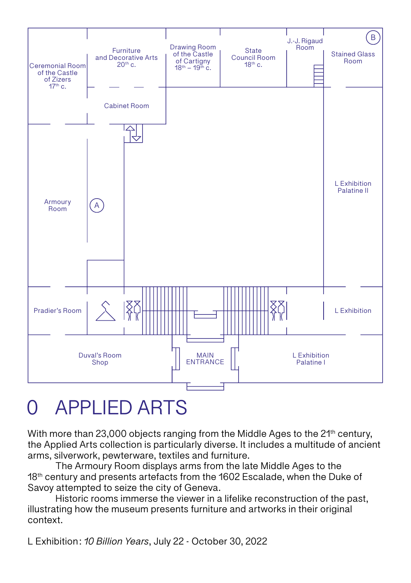

## 0 APPLIED ARTS

With more than 23,000 objects ranging from the Middle Ages to the  $21<sup>th</sup>$  century, the Applied Arts collection is particularly diverse. It includes a multitude of ancient arms, silverwork, pewterware, textiles and furniture.

The Armoury Room displays arms from the late Middle Ages to the 18<sup>th</sup> century and presents artefacts from the 1602 Escalade, when the Duke of Savoy attempted to seize the city of Geneva.

Historic rooms immerse the viewer in a lifelike reconstruction of the past, illustrating how the museum presents furniture and artworks in their original context.

L Exhibition : *10 Billion Years*, July 22 - October 30, 2022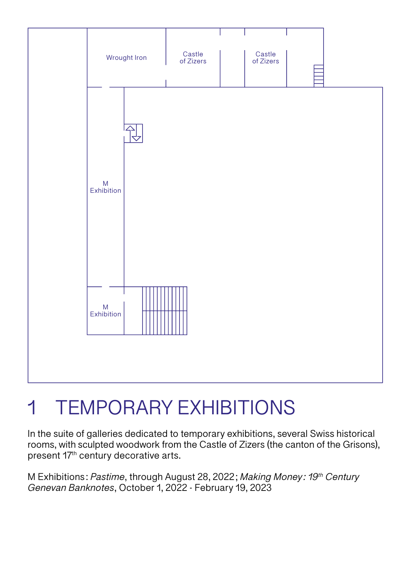

# 1 TEMPORARY EXHIBITIONS

In the suite of galleries dedicated to temporary exhibitions, several Swiss historical rooms, with sculpted woodwork from the Castle of Zizers (the canton of the Grisons), present 17th century decorative arts.

M Exhibitions : *Pastime*, through August 28, 2022 ; *Making Money : 19th Century Genevan Banknotes*, October 1, 2022 - February 19, 2023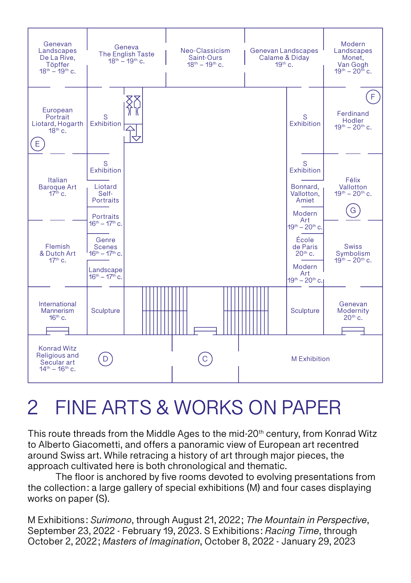

## 2 FINE ARTS & WORKS ON PAPER

This route threads from the Middle Ages to the mid-20<sup>th</sup> century, from Konrad Witz to Alberto Giacometti, and offers a panoramic view of European art recentred around Swiss art. While retracing a history of art through major pieces, the approach cultivated here is both chronological and thematic.

The floor is anchored by five rooms devoted to evolving presentations from the collection : a large gallery of special exhibitions (M) and four cases displaying works on paper (S).

M Exhibitions : *Surimono*, through August 21, 2022 ; *The Mountain in Perspective*, September 23, 2022 - February 19, 2023. S Exhibitions : *Racing Time*, through October 2, 2022 ; *Masters of Imagination*, October 8, 2022 - January 29, 2023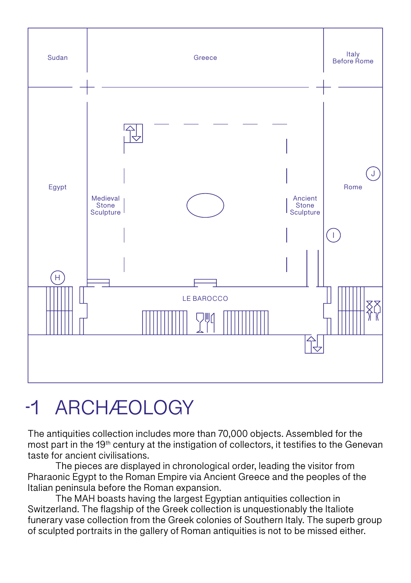

## ARCHÆOLOGY

The antiquities collection includes more than 70,000 objects. Assembled for the most part in the 19<sup>th</sup> century at the instigation of collectors, it testifies to the Genevan taste for ancient civilisations.

The pieces are displayed in chronological order, leading the visitor from Pharaonic Egypt to the Roman Empire via Ancient Greece and the peoples of the Italian peninsula before the Roman expansion.

The MAH boasts having the largest Egyptian antiquities collection in Switzerland. The flagship of the Greek collection is unquestionably the Italiote funerary vase collection from the Greek colonies of Southern Italy. The superb group of sculpted portraits in the gallery of Roman antiquities is not to be missed either.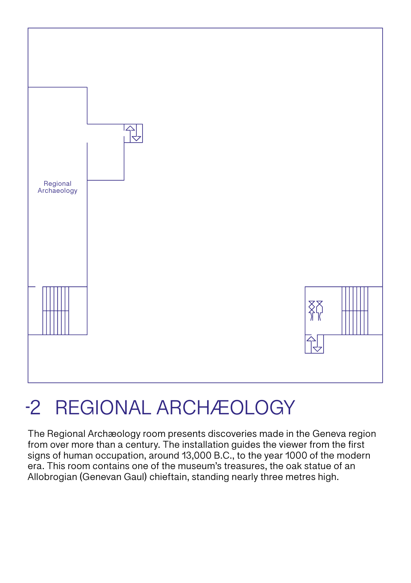

# -2 REGIONAL ARCHÆOLOGY

The Regional Archæology room presents discoveries made in the Geneva region from over more than a century. The installation guides the viewer from the first signs of human occupation, around 13,000 B.C., to the year 1000 of the modern era. This room contains one of the museum's treasures, the oak statue of an Allobrogian (Genevan Gaul) chieftain, standing nearly three metres high.